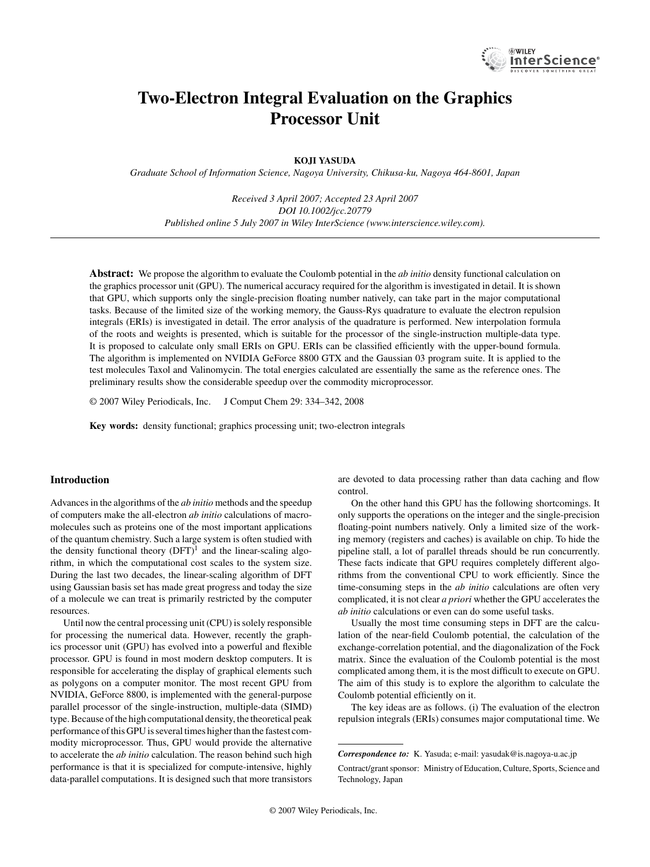

# **Two-Electron Integral Evaluation on the Graphics Processor Unit**

## **KOJI YASUDA**

*Graduate School of Information Science, Nagoya University, Chikusa-ku, Nagoya 464-8601, Japan*

*Received 3 April 2007; Accepted 23 April 2007 DOI 10.1002/jcc.20779 Published online 5 July 2007 in Wiley InterScience (www.interscience.wiley.com).*

**Abstract:** We propose the algorithm to evaluate the Coulomb potential in the *ab initio* density functional calculation on the graphics processor unit (GPU). The numerical accuracy required for the algorithm is investigated in detail. It is shown that GPU, which supports only the single-precision floating number natively, can take part in the major computational tasks. Because of the limited size of the working memory, the Gauss-Rys quadrature to evaluate the electron repulsion integrals (ERIs) is investigated in detail. The error analysis of the quadrature is performed. New interpolation formula of the roots and weights is presented, which is suitable for the processor of the single-instruction multiple-data type. It is proposed to calculate only small ERIs on GPU. ERIs can be classified efficiently with the upper-bound formula. The algorithm is implemented on NVIDIA GeForce 8800 GTX and the Gaussian 03 program suite. It is applied to the test molecules Taxol and Valinomycin. The total energies calculated are essentially the same as the reference ones. The preliminary results show the considerable speedup over the commodity microprocessor.

© 2007 Wiley Periodicals, Inc. J Comput Chem 29: 334–342, 2008

**Key words:** density functional; graphics processing unit; two-electron integrals

## **Introduction**

Advances in the algorithms of the *ab initio* methods and the speedup of computers make the all-electron *ab initio* calculations of macromolecules such as proteins one of the most important applications of the quantum chemistry. Such a large system is often studied with the density functional theory  $(DFT)^1$  and the linear-scaling algorithm, in which the computational cost scales to the system size. During the last two decades, the linear-scaling algorithm of DFT using Gaussian basis set has made great progress and today the size of a molecule we can treat is primarily restricted by the computer resources.

Until now the central processing unit (CPU) is solely responsible for processing the numerical data. However, recently the graphics processor unit (GPU) has evolved into a powerful and flexible processor. GPU is found in most modern desktop computers. It is responsible for accelerating the display of graphical elements such as polygons on a computer monitor. The most recent GPU from NVIDIA, GeForce 8800, is implemented with the general-purpose parallel processor of the single-instruction, multiple-data (SIMD) type. Because of the high computational density, the theoretical peak performance of this GPU is several times higher than the fastest commodity microprocessor. Thus, GPU would provide the alternative to accelerate the *ab initio* calculation. The reason behind such high performance is that it is specialized for compute-intensive, highly data-parallel computations. It is designed such that more transistors are devoted to data processing rather than data caching and flow control.

On the other hand this GPU has the following shortcomings. It only supports the operations on the integer and the single-precision floating-point numbers natively. Only a limited size of the working memory (registers and caches) is available on chip. To hide the pipeline stall, a lot of parallel threads should be run concurrently. These facts indicate that GPU requires completely different algorithms from the conventional CPU to work efficiently. Since the time-consuming steps in the *ab initio* calculations are often very complicated, it is not clear *a priori* whether the GPU accelerates the *ab initio* calculations or even can do some useful tasks.

Usually the most time consuming steps in DFT are the calculation of the near-field Coulomb potential, the calculation of the exchange-correlation potential, and the diagonalization of the Fock matrix. Since the evaluation of the Coulomb potential is the most complicated among them, it is the most difficult to execute on GPU. The aim of this study is to explore the algorithm to calculate the Coulomb potential efficiently on it.

The key ideas are as follows. (i) The evaluation of the electron repulsion integrals (ERIs) consumes major computational time. We

*Correspondence to:* K. Yasuda; e-mail: yasudak@is.nagoya-u.ac.jp Contract/grant sponsor: Ministry of Education, Culture, Sports, Science and Technology, Japan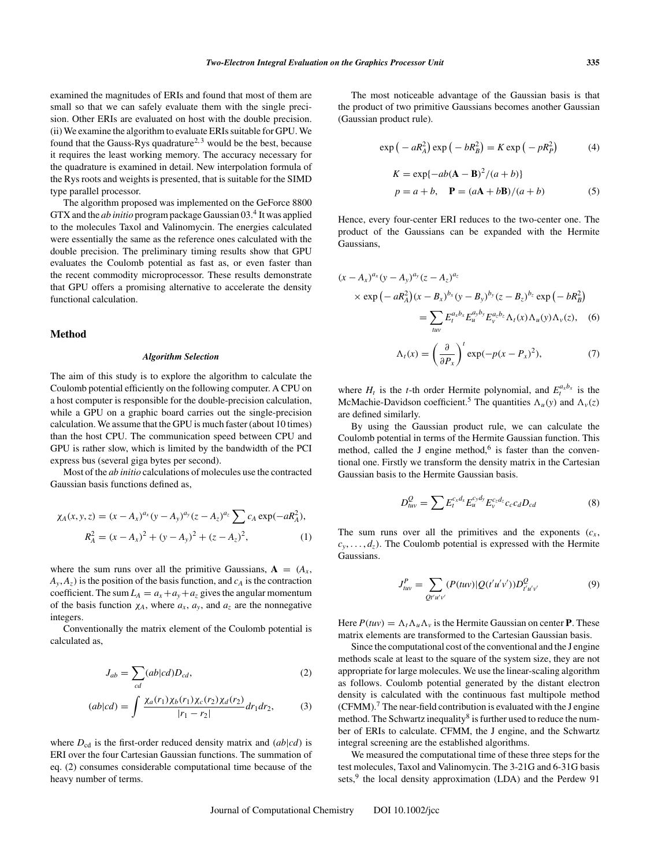examined the magnitudes of ERIs and found that most of them are small so that we can safely evaluate them with the single precision. Other ERIs are evaluated on host with the double precision. (ii) We examine the algorithm to evaluate ERIs suitable for GPU. We found that the Gauss-Rys quadrature<sup>2, 3</sup> would be the best, because it requires the least working memory. The accuracy necessary for the quadrature is examined in detail. New interpolation formula of the Rys roots and weights is presented, that is suitable for the SIMD type parallel processor.

The algorithm proposed was implemented on the GeForce 8800 GTX and the *ab initio* program package Gaussian 03.<sup>4</sup> It was applied to the molecules Taxol and Valinomycin. The energies calculated were essentially the same as the reference ones calculated with the double precision. The preliminary timing results show that GPU evaluates the Coulomb potential as fast as, or even faster than the recent commodity microprocessor. These results demonstrate that GPU offers a promising alternative to accelerate the density functional calculation.

#### **Method**

#### *Algorithm Selection*

The aim of this study is to explore the algorithm to calculate the Coulomb potential efficiently on the following computer. A CPU on a host computer is responsible for the double-precision calculation, while a GPU on a graphic board carries out the single-precision calculation. We assume that the GPU is much faster (about 10 times) than the host CPU. The communication speed between CPU and GPU is rather slow, which is limited by the bandwidth of the PCI express bus (several giga bytes per second).

Most of the *ab initio* calculations of molecules use the contracted Gaussian basis functions defined as,

$$
\chi_A(x, y, z) = (x - A_x)^{a_x} (y - A_y)^{a_y} (z - A_z)^{a_z} \sum c_A \exp(-aR_A^2),
$$
  

$$
R_A^2 = (x - A_x)^2 + (y - A_y)^2 + (z - A_z)^2,
$$
 (1)

where the sum runs over all the primitive Gaussians,  $A = (A_x, A_y)$  $A_{v}$ ,  $A_{z}$ ) is the position of the basis function, and  $c_{A}$  is the contraction coefficient. The sum  $L_A = a_x + a_y + a_z$  gives the angular momentum of the basis function  $\chi_A$ , where  $a_x$ ,  $a_y$ , and  $a_z$  are the nonnegative integers.

Conventionally the matrix element of the Coulomb potential is calculated as,

$$
J_{ab} = \sum_{cd} (ab|cd)D_{cd},\tag{2}
$$

$$
(ab|cd) = \int \frac{\chi_a(r_1)\chi_b(r_1)\chi_c(r_2)\chi_d(r_2)}{|r_1 - r_2|} dr_1 dr_2,
$$
 (3)

where  $D_{cd}$  is the first-order reduced density matrix and  $(ab|cd)$  is ERI over the four Cartesian Gaussian functions. The summation of eq. (2) consumes considerable computational time because of the heavy number of terms.

The most noticeable advantage of the Gaussian basis is that the product of two primitive Gaussians becomes another Gaussian (Gaussian product rule).

$$
\exp\left(-aR_A^2\right)\exp\left(-bR_B^2\right) = K\exp\left(-pR_P^2\right) \tag{4}
$$

$$
K = \exp\{-ab(\mathbf{A} - \mathbf{B})^2/(a+b)\}
$$
  

$$
p = a + b, \quad \mathbf{P} = (a\mathbf{A} + b\mathbf{B})/(a+b)
$$
 (5)

Hence, every four-center ERI reduces to the two-center one. The product of the Gaussians can be expanded with the Hermite Gaussians,

$$
(x - A_x)^{a_x}(y - A_y)^{a_y}(z - A_z)^{a_z}
$$
  
\n
$$
\times \exp(-aR_A^2)(x - B_x)^{b_x}(y - B_y)^{b_y}(z - B_z)^{b_z} \exp(-bR_B^2)
$$
  
\n
$$
= \sum_{u,v} E_t^{a_x b_x} E_u^{a_y b_y} E_v^{a_z b_z} \Lambda_t(x) \Lambda_u(y) \Lambda_v(z), \quad (6)
$$
  
\n
$$
\Lambda_t(x) = \left(\frac{\partial}{\partial P_x}\right)^t \exp(-p(x - P_x)^2), \quad (7)
$$

where  $H_t$  is the *t*-th order Hermite polynomial, and  $E_t^{a_x b_x}$  is the McMachie-Davidson coefficient.<sup>5</sup> The quantities  $\Lambda_u(y)$  and  $\Lambda_v(z)$ are defined similarly.

By using the Gaussian product rule, we can calculate the Coulomb potential in terms of the Hermite Gaussian function. This method, called the J engine method, $6$  is faster than the conventional one. Firstly we transform the density matrix in the Cartesian Gaussian basis to the Hermite Gaussian basis.

$$
D_{\mu\nu}^Q = \sum E_t^{c_x d_x} E_u^{c_y d_y} E_v^{c_z d_z} c_c c_d D_{cd}
$$
 (8)

The sum runs over all the primitives and the exponents  $(c<sub>x</sub>,$  $c_y$ , ...,  $d_z$ ). The Coulomb potential is expressed with the Hermite Gaussians.

$$
J_{tuv}^P = \sum_{Q'u'v'} (P(tuv)|Q(t'u'v'))D_{t'u'v'}^Q
$$
 (9)

Here  $P(tuv) = \Lambda_t \Lambda_u \Lambda_v$  is the Hermite Gaussian on center **P**. These matrix elements are transformed to the Cartesian Gaussian basis.

Since the computational cost of the conventional and the J engine methods scale at least to the square of the system size, they are not appropriate for large molecules. We use the linear-scaling algorithm as follows. Coulomb potential generated by the distant electron density is calculated with the continuous fast multipole method  $(CFMM)$ .<sup>7</sup> The near-field contribution is evaluated with the J engine method. The Schwartz inequality<sup>8</sup> is further used to reduce the number of ERIs to calculate. CFMM, the J engine, and the Schwartz integral screening are the established algorithms.

We measured the computational time of these three steps for the test molecules, Taxol and Valinomycin. The 3-21G and 6-31G basis sets,<sup>9</sup> the local density approximation (LDA) and the Perdew 91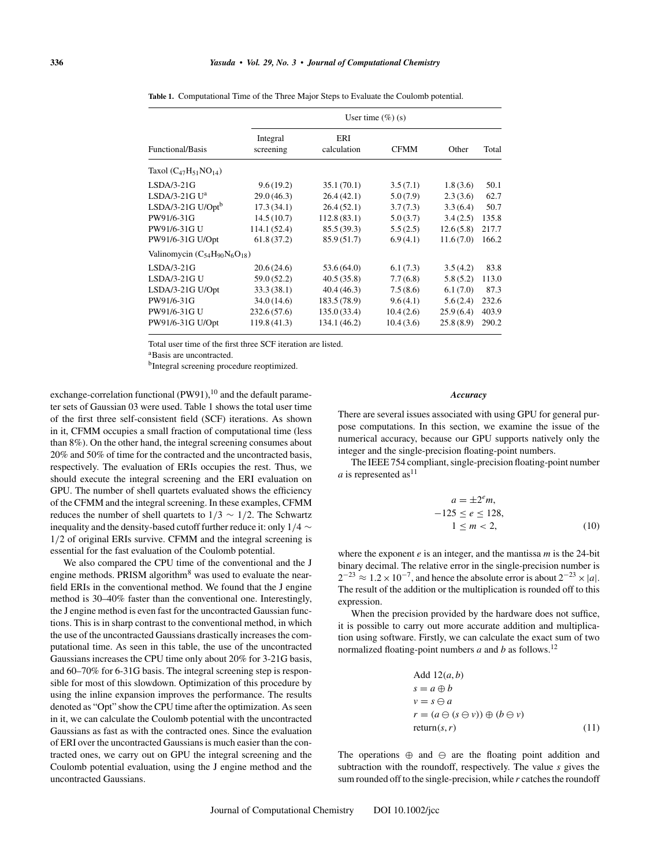#### **336** *Yasuda • Vol. 29, No. 3 • Journal of Computational Chemistry*

|                                       |                       | User time $(\%)(s)$ |             |           |       |  |  |  |
|---------------------------------------|-----------------------|---------------------|-------------|-----------|-------|--|--|--|
| Functional/Basis                      | Integral<br>screening | ERI<br>calculation  | <b>CFMM</b> | Other     | Total |  |  |  |
| Taxol $(C_{47}H_{51}NO_{14})$         |                       |                     |             |           |       |  |  |  |
| LSDA/3-21G                            | 9.6(19.2)             | 35.1(70.1)          | 3.5(7.1)    | 1.8(3.6)  | 50.1  |  |  |  |
| LSDA/3-21G Uª                         | 29.0(46.3)            | 26.4(42.1)          | 5.0(7.9)    | 2.3(3.6)  | 62.7  |  |  |  |
| LSDA/3-21G U/Opt <sup>b</sup>         | 17.3(34.1)            | 26.4(52.1)          | 3.7(7.3)    | 3.3(6.4)  | 50.7  |  |  |  |
| PW91/6-31G                            | 14.5(10.7)            | 112.8(83.1)         | 5.0(3.7)    | 3.4(2.5)  | 135.8 |  |  |  |
| PW91/6-31G U                          | 114.1 (52.4)          | 85.5 (39.3)         | 5.5(2.5)    | 12.6(5.8) | 217.7 |  |  |  |
| PW91/6-31G U/Opt                      | 61.8(37.2)            | 85.9 (51.7)         | 6.9(4.1)    | 11.6(7.0) | 166.2 |  |  |  |
| Valinomycin $(C_{54}H_{90}N_6O_{18})$ |                       |                     |             |           |       |  |  |  |
| LSDA/3-21G                            | 20.6(24.6)            | 53.6(64.0)          | 6.1(7.3)    | 3.5(4.2)  | 83.8  |  |  |  |
| LSDA/3-21G U                          | 59.0 (52.2)           | 40.5(35.8)          | 7.7(6.8)    | 5.8(5.2)  | 113.0 |  |  |  |
| LSDA/3-21G U/Opt                      | 33.3(38.1)            | 40.4(46.3)          | 7.5(8.6)    | 6.1(7.0)  | 87.3  |  |  |  |
| PW91/6-31G                            | 34.0 (14.6)           | 183.5 (78.9)        | 9.6(4.1)    | 5.6(2.4)  | 232.6 |  |  |  |
| PW91/6-31G U                          | 232.6(57.6)           | 135.0 (33.4)        | 10.4(2.6)   | 25.9(6.4) | 403.9 |  |  |  |
| PW91/6-31G U/Opt                      | 119.8(41.3)           | 134.1 (46.2)        | 10.4(3.6)   | 25.8(8.9) | 290.2 |  |  |  |

**Table 1.** Computational Time of the Three Major Steps to Evaluate the Coulomb potential.

Total user time of the first three SCF iteration are listed.

aBasis are uncontracted.

bIntegral screening procedure reoptimized.

exchange-correlation functional  $(PW91)$ ,<sup>10</sup> and the default parameter sets of Gaussian 03 were used. Table 1 shows the total user time of the first three self-consistent field (SCF) iterations. As shown in it, CFMM occupies a small fraction of computational time (less than 8%). On the other hand, the integral screening consumes about 20% and 50% of time for the contracted and the uncontracted basis, respectively. The evaluation of ERIs occupies the rest. Thus, we should execute the integral screening and the ERI evaluation on GPU. The number of shell quartets evaluated shows the efficiency of the CFMM and the integral screening. In these examples, CFMM reduces the number of shell quartets to  $1/3 \sim 1/2$ . The Schwartz inequality and the density-based cutoff further reduce it: only 1/4 ∼ 1/2 of original ERIs survive. CFMM and the integral screening is essential for the fast evaluation of the Coulomb potential.

We also compared the CPU time of the conventional and the J engine methods. PRISM algorithm<sup>8</sup> was used to evaluate the nearfield ERIs in the conventional method. We found that the J engine method is 30–40% faster than the conventional one. Interestingly, the J engine method is even fast for the uncontracted Gaussian functions. This is in sharp contrast to the conventional method, in which the use of the uncontracted Gaussians drastically increases the computational time. As seen in this table, the use of the uncontracted Gaussians increases the CPU time only about 20% for 3-21G basis, and 60–70% for 6-31G basis. The integral screening step is responsible for most of this slowdown. Optimization of this procedure by using the inline expansion improves the performance. The results denoted as "Opt" show the CPU time after the optimization. As seen in it, we can calculate the Coulomb potential with the uncontracted Gaussians as fast as with the contracted ones. Since the evaluation of ERI over the uncontracted Gaussians is much easier than the contracted ones, we carry out on GPU the integral screening and the Coulomb potential evaluation, using the J engine method and the uncontracted Gaussians.

#### *Accuracy*

There are several issues associated with using GPU for general purpose computations. In this section, we examine the issue of the numerical accuracy, because our GPU supports natively only the integer and the single-precision floating-point numbers.

The IEEE 754 compliant, single-precision floating-point number *a* is represented as<sup>11</sup>

$$
a = \pm 2^e m,
$$
  
\n
$$
-125 \le e \le 128,
$$
  
\n
$$
1 \le m < 2,
$$
  
\n(10)

where the exponent *e* is an integer, and the mantissa *m* is the 24-bit binary decimal. The relative error in the single-precision number is  $2^{-23} \approx 1.2 \times 10^{-7}$ , and hence the absolute error is about  $2^{-23} \times |a|$ . The result of the addition or the multiplication is rounded off to this expression.

When the precision provided by the hardware does not suffice, it is possible to carry out more accurate addition and multiplication using software. Firstly, we can calculate the exact sum of two normalized floating-point numbers *a* and *b* as follows.<sup>12</sup>

Add 
$$
12(a, b)
$$
  
\n $s = a \oplus b$   
\n $v = s \ominus a$   
\n $r = (a \ominus (s \ominus v)) \oplus (b \ominus v)$   
\nreturn(s, r) (11)

The operations  $\oplus$  and  $\ominus$  are the floating point addition and subtraction with the roundoff, respectively. The value *s* gives the sum rounded off to the single-precision, while *r* catches the roundoff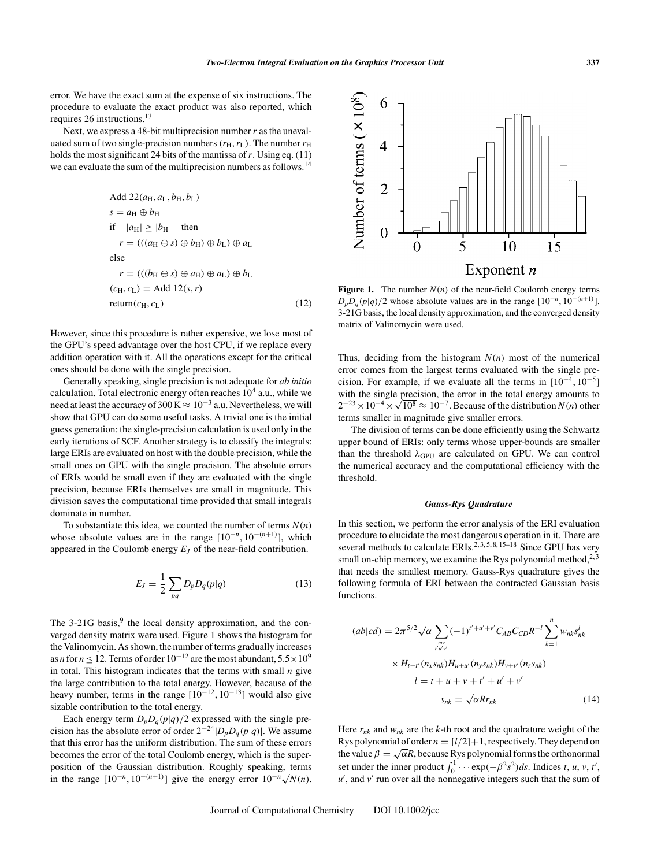error. We have the exact sum at the expense of six instructions. The procedure to evaluate the exact product was also reported, which requires 26 instructions.<sup>13</sup>

Next, we express a 48-bit multiprecision number*r* as the unevaluated sum of two single-precision numbers  $(r_H, r_L)$ . The number  $r_H$ holds the most significant 24 bits of the mantissa of*r*. Using eq. (11) we can evaluate the sum of the multiprecision numbers as follows.<sup>14</sup>

Add 
$$
22(a_H, a_L, b_H, b_L)
$$
  
\n $s = a_H \oplus b_H$   
\nif  $|a_H| \ge |b_H|$  then  
\n $r = (((a_H \ominus s) \oplus b_H) \oplus b_L) \oplus a_L$   
\nelse  
\n $r = (((b_H \ominus s) \oplus a_H) \oplus a_L) \oplus b_L$   
\n $(c_H, c_L) = \text{Add } 12(s, r)$   
\nreturn  $(c_H, c_L)$  (12)

However, since this procedure is rather expensive, we lose most of the GPU's speed advantage over the host CPU, if we replace every addition operation with it. All the operations except for the critical ones should be done with the single precision.

Generally speaking, single precision is not adequate for *ab initio* calculation. Total electronic energy often reaches  $10^4$  a.u., while we need at least the accuracy of 300 K  $\approx 10^{-3}$  a.u. Nevertheless, we will show that GPU can do some useful tasks. A trivial one is the initial guess generation: the single-precision calculation is used only in the early iterations of SCF. Another strategy is to classify the integrals: large ERIs are evaluated on host with the double precision, while the small ones on GPU with the single precision. The absolute errors of ERIs would be small even if they are evaluated with the single precision, because ERIs themselves are small in magnitude. This division saves the computational time provided that small integrals dominate in number.

To substantiate this idea, we counted the number of terms  $N(n)$ whose absolute values are in the range  $[10^{-n}, 10^{-(n+1)}]$ , which appeared in the Coulomb energy  $E_J$  of the near-field contribution.

$$
E_J = \frac{1}{2} \sum_{pq} D_p D_q(p|q)
$$
 (13)

The  $3-21G$  basis,<sup>9</sup> the local density approximation, and the converged density matrix were used. Figure 1 shows the histogram for the Valinomycin. As shown, the number of terms gradually increases as *n* for  $n \le 12$ . Terms of order  $10^{-12}$  are the most abundant,  $5.5 \times 10^9$ in total. This histogram indicates that the terms with small *n* give the large contribution to the total energy. However, because of the heavy number, terms in the range  $[10^{-12}, 10^{-13}]$  would also give sizable contribution to the total energy.

Each energy term  $D_p D_q(p|q)/2$  expressed with the single precision has the absolute error of order  $2^{-24} |D_p D_q(p|q)|$ . We assume that this error has the uniform distribution. The sum of these errors becomes the error of the total Coulomb energy, which is the superposition of the Gaussian distribution. Roughly speaking, terms in the range  $[10^{-n}, 10^{-(n+1)}]$  give the energy error  $10^{-n}\sqrt{N(n)}$ .



**Figure 1.** The number  $N(n)$  of the near-field Coulomb energy terms  $D_p D_q(p|q)/2$  whose absolute values are in the range  $[10^{-n}, 10^{-(n+1)}]$ . 3-21G basis, the local density approximation, and the converged density matrix of Valinomycin were used.

Thus, deciding from the histogram  $N(n)$  most of the numerical error comes from the largest terms evaluated with the single precision. For example, if we evaluate all the terms in  $[10^{-4}, 10^{-5}]$ with the single precision, the error in the total energy amounts to  $2^{-23} \times 10^{-4} \times \sqrt{10^8} \approx 10^{-7}$ . Because of the distribution *N*(*n*) other terms smaller in magnitude give smaller errors.

The division of terms can be done efficiently using the Schwartz upper bound of ERIs: only terms whose upper-bounds are smaller than the threshold  $\lambda$ <sub>GPU</sub> are calculated on GPU. We can control the numerical accuracy and the computational efficiency with the threshold.

#### *Gauss-Rys Quadrature*

In this section, we perform the error analysis of the ERI evaluation procedure to elucidate the most dangerous operation in it. There are several methods to calculate  $ERIs$ <sup>2, 3, 5, 8, 15–18</sup> Since GPU has very small on-chip memory, we examine the Rys polynomial method, $2,3$ that needs the smallest memory. Gauss-Rys quadrature gives the following formula of ERI between the contracted Gaussian basis functions.

$$
(ab|cd) = 2\pi^{5/2} \sqrt{\alpha} \sum_{\substack{nw \ y'w' \\ t'u'v'}} (-1)^{t'+u'+v'} C_{AB} C_{CD} R^{-l} \sum_{k=1}^{n} w_{nk} s_{nk}^l
$$

$$
\times H_{t+t'} (n_x s_{nk}) H_{u+u'} (n_y s_{nk}) H_{v+v'} (n_z s_{nk})
$$

$$
l = t + u + v + t' + u' + v'
$$

$$
s_{nk} = \sqrt{\alpha} R r_{nk}
$$
(14)

Here  $r_{nk}$  and  $w_{nk}$  are the *k*-th root and the quadrature weight of the Rys polynomial of order  $n = \lfloor l/2 \rfloor + 1$ , respectively. They depend on the value  $\beta = \sqrt{\alpha}R$ , because Rys polynomial forms the orthonormal set under the inner product  $\int_0^1 \cdots \exp(-\beta^2 s^2) ds$ . Indices *t*, *u*, *v*, *t'*, *u* , and *v* run over all the nonnegative integers such that the sum of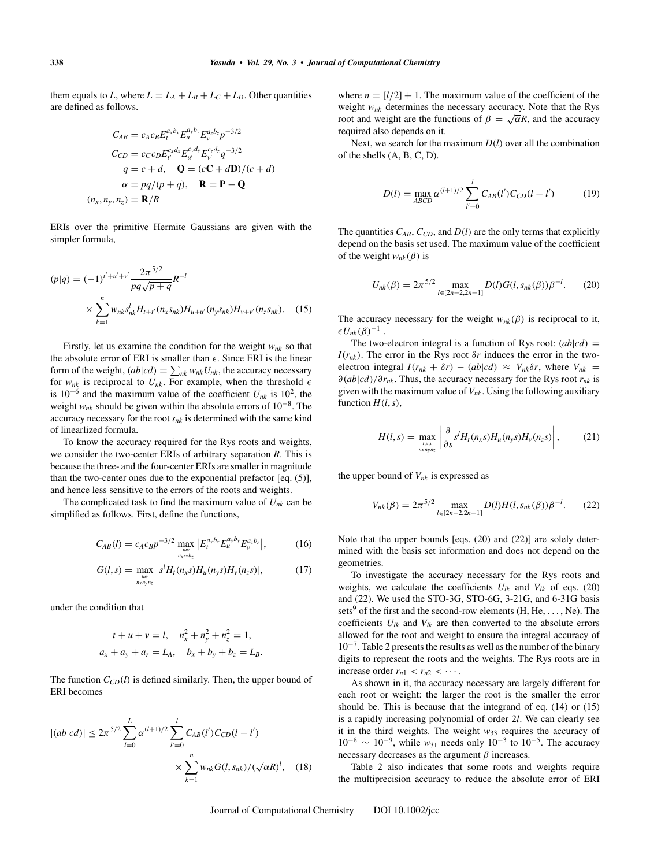them equals to *L*, where  $L = L_A + L_B + L_C + L_D$ . Other quantities are defined as follows.

$$
C_{AB} = c_A c_B E_t^{a_x b_x} E_u^{a_y b_y} E_v^{a_z b_z} p^{-3/2}
$$
  
\n
$$
C_{CD} = c_C c_D E_{t'}^{c_x d_x} E_{u'}^{c_y d_y} E_{v'}^{c_z d_z} q^{-3/2}
$$
  
\n
$$
q = c + d, \quad \mathbf{Q} = (c\mathbf{C} + d\mathbf{D})/(c + d)
$$
  
\n
$$
\alpha = pq/(p+q), \quad \mathbf{R} = \mathbf{P} - \mathbf{Q}
$$
  
\n
$$
(n_x, n_y, n_z) = \mathbf{R}/R
$$

ERIs over the primitive Hermite Gaussians are given with the simpler formula,

$$
(p|q) = (-1)^{t'+u'+v'} \frac{2\pi^{5/2}}{pq\sqrt{p+q}} R^{-l}
$$
  
 
$$
\times \sum_{k=1}^{n} w_{nk} s'_{nk} H_{t+t'}(n_x s_{nk}) H_{u+u'}(n_y s_{nk}) H_{v+v'}(n_z s_{nk}).
$$
 (15)

Firstly, let us examine the condition for the weight *wnk* so that the absolute error of ERI is smaller than  $\epsilon$ . Since ERI is the linear form of the weight,  $(ab|cd) = \sum_{nk} w_{nk} U_{nk}$ , the accuracy necessary for  $w_{nk}$  is reciprocal to  $U_{nk}$ . For example, when the threshold  $\epsilon$ is 10<sup>-6</sup> and the maximum value of the coefficient  $U_{nk}$  is 10<sup>2</sup>, the weight *wnk* should be given within the absolute errors of 10−8. The accuracy necessary for the root  $s_{nk}$  is determined with the same kind of linearlized formula.

To know the accuracy required for the Rys roots and weights, we consider the two-center ERIs of arbitrary separation *R*. This is because the three- and the four-center ERIs are smaller in magnitude than the two-center ones due to the exponential prefactor [eq. (5)], and hence less sensitive to the errors of the roots and weights.

The complicated task to find the maximum value of  $U_{nk}$  can be simplified as follows. First, define the functions,

$$
C_{AB}(l) = c_A c_B p^{-3/2} \max_{\substack{law\\av \to z}} \left| E_t^{a_x b_x} E_u^{a_y b_y} E_v^{a_z b_z} \right|, \tag{16}
$$

$$
G(l,s) = \max_{n \to n \atop n \times n \text{y/}n \geq 1} |s^l H_l(n_x s) H_u(n_y s) H_v(n_z s)|, \tag{17}
$$

under the condition that

$$
t + u + v = l, \quad n_x^2 + n_y^2 + n_z^2 = 1,
$$
  

$$
a_x + a_y + a_z = L_A, \quad b_x + b_y + b_z = L_B.
$$

The function  $C_{CD}(l)$  is defined similarly. Then, the upper bound of ERI becomes

$$
|(ab|cd)| \le 2\pi^{5/2} \sum_{l=0}^{L} \alpha^{(l+1)/2} \sum_{l'=0}^{l} C_{AB}(l') C_{CD}(l-l')
$$
  

$$
\times \sum_{k=1}^{n} w_{nk} G(l, s_{nk}) / (\sqrt{\alpha} R)^l, \quad (18)
$$

where  $n = \lfloor l/2 \rfloor + 1$ . The maximum value of the coefficient of the weight *wnk* determines the necessary accuracy. Note that the Rys root and weight are the functions of  $\beta = \sqrt{\alpha}R$ , and the accuracy required also depends on it.

Next, we search for the maximum  $D(l)$  over all the combination of the shells (A, B, C, D).

$$
D(l) = \max_{ABCD} \alpha^{(l+1)/2} \sum_{l'=0}^{l} C_{AB}(l') C_{CD}(l-l')
$$
 (19)

The quantities  $C_{AB}$ ,  $C_{CD}$ , and  $D(l)$  are the only terms that explicitly depend on the basis set used. The maximum value of the coefficient of the weight  $w_{nk}(\beta)$  is

$$
U_{nk}(\beta) = 2\pi^{5/2} \max_{l \in [2n-2,2n-1]} D(l)G(l,s_{nk}(\beta))\beta^{-l}.
$$
 (20)

The accuracy necessary for the weight  $w_{nk}(\beta)$  is reciprocal to it,  $\epsilon U_{nk}(\beta)^{-1}$ .

The two-electron integral is a function of Rys root:  $(ab|cd)$  =  $I(r_{nk})$ . The error in the Rys root  $\delta r$  induces the error in the twoelectron integral  $I(r_{nk} + \delta r) - (ab|cd) \approx V_{nk}\delta r$ , where  $V_{nk} =$ ∂(*ab*|*cd*)/∂*rnk* . Thus, the accuracy necessary for the Rys root *rnk* is given with the maximum value of  $V_{nk}$ . Using the following auxiliary function  $H(l, s)$ ,

$$
H(l,s) = \max_{\substack{u,u,v\\n_x n_y n_z}} \left| \frac{\partial}{\partial s} s^l H_l(n_x s) H_u(n_y s) H_v(n_z s) \right|, \tag{21}
$$

the upper bound of  $V_{nk}$  is expressed as

$$
V_{nk}(\beta) = 2\pi^{5/2} \max_{l \in [2n-2,2n-1]} D(l)H(l, s_{nk}(\beta))\beta^{-l}.
$$
 (22)

Note that the upper bounds [eqs. (20) and (22)] are solely determined with the basis set information and does not depend on the geometries.

To investigate the accuracy necessary for the Rys roots and weights, we calculate the coefficients  $U_{lk}$  and  $V_{lk}$  of eqs. (20) and (22). We used the STO-3G, STO-6G, 3-21G, and 6-31G basis sets<sup>9</sup> of the first and the second-row elements (H, He, ..., Ne). The coefficients  $U_{lk}$  and  $V_{lk}$  are then converted to the absolute errors allowed for the root and weight to ensure the integral accuracy of  $10^{-7}$ . Table 2 presents the results as well as the number of the binary digits to represent the roots and the weights. The Rys roots are in increase order  $r_{n1} < r_{n2} < \cdots$ .

As shown in it, the accuracy necessary are largely different for each root or weight: the larger the root is the smaller the error should be. This is because that the integrand of eq. (14) or (15) is a rapidly increasing polynomial of order 2*l*. We can clearly see it in the third weights. The weight  $w_{33}$  requires the accuracy of  $10^{-8} \sim 10^{-9}$ , while  $w_{31}$  needs only  $10^{-3}$  to  $10^{-5}$ . The accuracy necessary decreases as the argument  $\beta$  increases.

Table 2 also indicates that some roots and weights require the multiprecision accuracy to reduce the absolute error of ERI

Journal of Computational Chemistry DOI 10.1002/jcc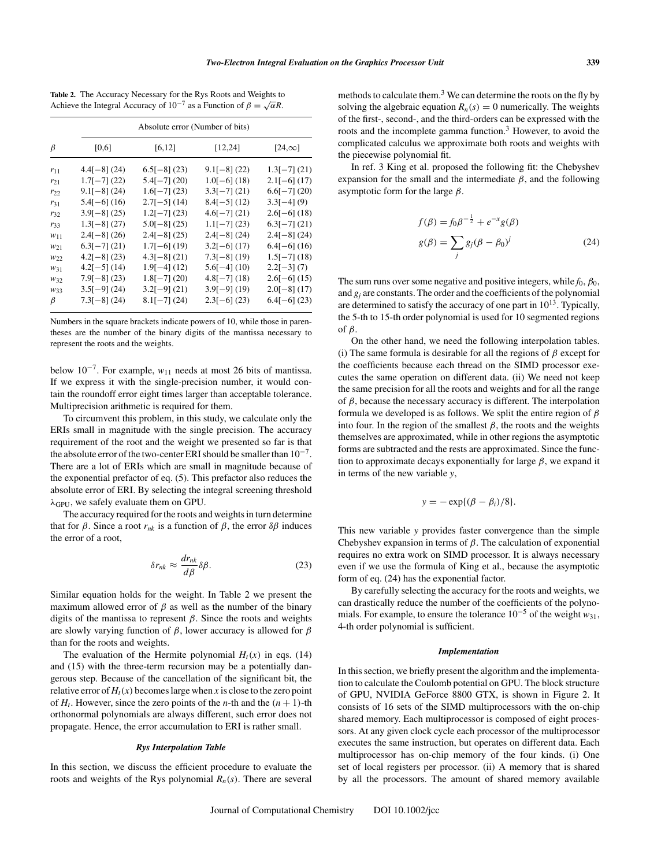|                 |                | Absolute error (Number of bits) |                |                |  |  |  |  |
|-----------------|----------------|---------------------------------|----------------|----------------|--|--|--|--|
| $\beta$         | [0,6]          | [6, 12]                         | [12, 24]       | $[24,\infty]$  |  |  |  |  |
| $r_{11}$        | $4.4[-8]$ (24) | $6.5[-8]$ (23)                  | $9.1[-8] (22)$ | $1.3[-7]$ (21) |  |  |  |  |
| $r_{21}$        | $1.7[-7] (22)$ | $5.4[-7] (20)$                  | $1.0[-6] (18)$ | $2.1[-6]$ (17) |  |  |  |  |
| $r_{22}$        | $9.1[-8] (24)$ | $1.6[-7]$ (23)                  | $3.3[-7] (21)$ | $6.6[-7]$ (20) |  |  |  |  |
| $r_{31}$        | $5.4[-6]$ (16) | $2.7[-5]$ (14)                  | $8.4[-5] (12)$ | $3.3[-4]$ (9)  |  |  |  |  |
| $r_{32}$        | $3.9[-8] (25)$ | $1.2[-7]$ (23)                  | $4.6[-7] (21)$ | $2.6[-6] (18)$ |  |  |  |  |
| $r_{33}$        | $1.3[-8]$ (27) | $5.0[-8]$ (25)                  | $1.1[-7] (23)$ | $6.3[-7]$ (21) |  |  |  |  |
| W11             | $2.4[-8]$ (26) | $2.4[-8]$ (25)                  | $2.4[-8]$ (24) | $2.4[-8]$ (24) |  |  |  |  |
| W <sub>21</sub> | $6.3[-7] (21)$ | $1.7[-6]$ (19)                  | $3.2[-6]$ (17) | $6.4[-6]$ (16) |  |  |  |  |
| W22             | $4.2[-8]$ (23) | $4.3[-8]$ (21)                  | $7.3[-8]$ (19) | $1.5[-7] (18)$ |  |  |  |  |
| W31             | $4.2[-5] (14)$ | $1.9[-4] (12)$                  | $5.6[-4] (10)$ | $2.2[-3] (7)$  |  |  |  |  |
| $W_{32}$        | $7.9[-8]$ (23) | $1.8[-7] (20)$                  | $4.8[-7] (18)$ | $2.6[-6]$ (15) |  |  |  |  |
| W33             | $3.5[-9] (24)$ | $3.2[-9]$ (21)                  | $3.9[-9] (19)$ | $2.0[-8]$ (17) |  |  |  |  |
| $\beta$         | $7.3[-8]$ (24) | $8.1[-7] (24)$                  | $2.3[-6]$ (23) | $6.4[-6]$ (23) |  |  |  |  |

**Table 2.** The Accuracy Necessary for the Rys Roots and Weights to Achieve the Integral Accuracy of  $10^{-7}$  as a Function of  $\beta = \sqrt{\alpha}R$ .

Numbers in the square brackets indicate powers of 10, while those in parentheses are the number of the binary digits of the mantissa necessary to represent the roots and the weights.

below 10−7. For example, *w*<sup>11</sup> needs at most 26 bits of mantissa. If we express it with the single-precision number, it would contain the roundoff error eight times larger than acceptable tolerance. Multiprecision arithmetic is required for them.

To circumvent this problem, in this study, we calculate only the ERIs small in magnitude with the single precision. The accuracy requirement of the root and the weight we presented so far is that the absolute error of the two-center ERI should be smaller than  $10^{-7}$ . There are a lot of ERIs which are small in magnitude because of the exponential prefactor of eq. (5). This prefactor also reduces the absolute error of ERI. By selecting the integral screening threshold  $\lambda$ <sub>GPU</sub>, we safely evaluate them on GPU.

The accuracy required for the roots and weights in turn determine that for *β*. Since a root  $r_{nk}$  is a function of *β*, the error  $δβ$  induces the error of a root,

$$
\delta r_{nk} \approx \frac{dr_{nk}}{d\beta} \delta \beta. \tag{23}
$$

Similar equation holds for the weight. In Table 2 we present the maximum allowed error of  $\beta$  as well as the number of the binary digits of the mantissa to represent β. Since the roots and weights are slowly varying function of  $\beta$ , lower accuracy is allowed for  $\beta$ than for the roots and weights.

The evaluation of the Hermite polynomial  $H_t(x)$  in eqs. (14) and (15) with the three-term recursion may be a potentially dangerous step. Because of the cancellation of the significant bit, the relative error of  $H_t(x)$  becomes large when x is close to the zero point of  $H_t$ . However, since the zero points of the *n*-th and the  $(n + 1)$ -th orthonormal polynomials are always different, such error does not propagate. Hence, the error accumulation to ERI is rather small.

## *Rys Interpolation Table*

In this section, we discuss the efficient procedure to evaluate the roots and weights of the Rys polynomial  $R_n(s)$ . There are several methods to calculate them.<sup>3</sup> We can determine the roots on the fly by solving the algebraic equation  $R_n(s) = 0$  numerically. The weights of the first-, second-, and the third-orders can be expressed with the roots and the incomplete gamma function.<sup>3</sup> However, to avoid the complicated calculus we approximate both roots and weights with the piecewise polynomial fit.

In ref. 3 King et al. proposed the following fit: the Chebyshev expansion for the small and the intermediate  $\beta$ , and the following asymptotic form for the large  $\beta$ .

$$
f(\beta) = f_0 \beta^{-\frac{1}{2}} + e^{-x} g(\beta)
$$
  

$$
g(\beta) = \sum_j g_j (\beta - \beta_0)^j
$$
 (24)

The sum runs over some negative and positive integers, while  $f_0$ ,  $\beta_0$ , and  $g_i$  are constants. The order and the coefficients of the polynomial are determined to satisfy the accuracy of one part in  $10^{13}$ . Typically, the 5-th to 15-th order polynomial is used for 10 segmented regions of  $\beta$ .

On the other hand, we need the following interpolation tables. (i) The same formula is desirable for all the regions of  $\beta$  except for the coefficients because each thread on the SIMD processor executes the same operation on different data. (ii) We need not keep the same precision for all the roots and weights and for all the range of  $\beta$ , because the necessary accuracy is different. The interpolation formula we developed is as follows. We split the entire region of  $\beta$ into four. In the region of the smallest  $\beta$ , the roots and the weights themselves are approximated, while in other regions the asymptotic forms are subtracted and the rests are approximated. Since the function to approximate decays exponentially for large  $\beta$ , we expand it in terms of the new variable *y*,

$$
y = -\exp\{(\beta - \beta_i)/8\}.
$$

This new variable *y* provides faster convergence than the simple Chebyshev expansion in terms of  $\beta$ . The calculation of exponential requires no extra work on SIMD processor. It is always necessary even if we use the formula of King et al., because the asymptotic form of eq. (24) has the exponential factor.

By carefully selecting the accuracy for the roots and weights, we can drastically reduce the number of the coefficients of the polynomials. For example, to ensure the tolerance  $10^{-5}$  of the weight  $w_{31}$ , 4-th order polynomial is sufficient.

#### *Implementation*

In this section, we briefly present the algorithm and the implementation to calculate the Coulomb potential on GPU. The block structure of GPU, NVIDIA GeForce 8800 GTX, is shown in Figure 2. It consists of 16 sets of the SIMD multiprocessors with the on-chip shared memory. Each multiprocessor is composed of eight processors. At any given clock cycle each processor of the multiprocessor executes the same instruction, but operates on different data. Each multiprocessor has on-chip memory of the four kinds. (i) One set of local registers per processor. (ii) A memory that is shared by all the processors. The amount of shared memory available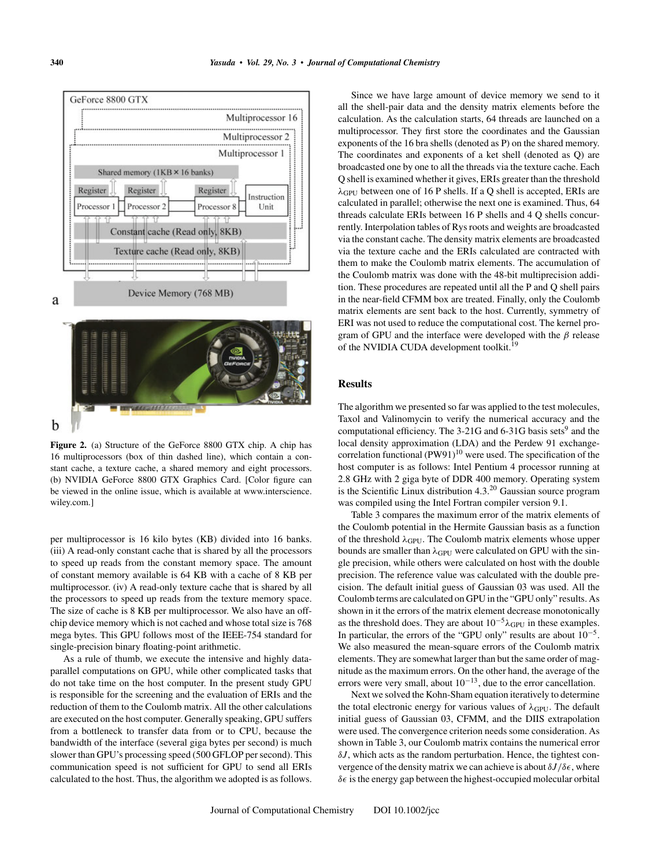

**Figure 2.** (a) Structure of the GeForce 8800 GTX chip. A chip has 16 multiprocessors (box of thin dashed line), which contain a constant cache, a texture cache, a shared memory and eight processors. (b) NVIDIA GeForce 8800 GTX Graphics Card. [Color figure can be viewed in the online issue, which is available at www.interscience. wiley.com.]

per multiprocessor is 16 kilo bytes (KB) divided into 16 banks. (iii) A read-only constant cache that is shared by all the processors to speed up reads from the constant memory space. The amount of constant memory available is 64 KB with a cache of 8 KB per multiprocessor. (iv) A read-only texture cache that is shared by all the processors to speed up reads from the texture memory space. The size of cache is 8 KB per multiprocessor. We also have an offchip device memory which is not cached and whose total size is 768 mega bytes. This GPU follows most of the IEEE-754 standard for single-precision binary floating-point arithmetic.

As a rule of thumb, we execute the intensive and highly dataparallel computations on GPU, while other complicated tasks that do not take time on the host computer. In the present study GPU is responsible for the screening and the evaluation of ERIs and the reduction of them to the Coulomb matrix. All the other calculations are executed on the host computer. Generally speaking, GPU suffers from a bottleneck to transfer data from or to CPU, because the bandwidth of the interface (several giga bytes per second) is much slower than GPU's processing speed (500 GFLOP per second). This communication speed is not sufficient for GPU to send all ERIs calculated to the host. Thus, the algorithm we adopted is as follows.

Since we have large amount of device memory we send to it all the shell-pair data and the density matrix elements before the calculation. As the calculation starts, 64 threads are launched on a multiprocessor. They first store the coordinates and the Gaussian exponents of the 16 bra shells (denoted as P) on the shared memory. The coordinates and exponents of a ket shell (denoted as Q) are broadcasted one by one to all the threads via the texture cache. Each Q shell is examined whether it gives, ERIs greater than the threshold  $\lambda$ <sub>GPU</sub> between one of 16 P shells. If a Q shell is accepted, ERIs are calculated in parallel; otherwise the next one is examined. Thus, 64 threads calculate ERIs between 16 P shells and 4 Q shells concurrently. Interpolation tables of Rys roots and weights are broadcasted via the constant cache. The density matrix elements are broadcasted via the texture cache and the ERIs calculated are contracted with them to make the Coulomb matrix elements. The accumulation of the Coulomb matrix was done with the 48-bit multiprecision addition. These procedures are repeated until all the P and Q shell pairs in the near-field CFMM box are treated. Finally, only the Coulomb matrix elements are sent back to the host. Currently, symmetry of ERI was not used to reduce the computational cost. The kernel program of GPU and the interface were developed with the  $\beta$  release of the NVIDIA CUDA development toolkit.<sup>19</sup>

# **Results**

The algorithm we presented so far was applied to the test molecules, Taxol and Valinomycin to verify the numerical accuracy and the computational efficiency. The  $3-21G$  and  $6-31G$  basis sets<sup>9</sup> and the local density approximation (LDA) and the Perdew 91 exchangecorrelation functional  $(PW91)^{10}$  were used. The specification of the host computer is as follows: Intel Pentium 4 processor running at 2.8 GHz with 2 giga byte of DDR 400 memory. Operating system is the Scientific Linux distribution  $4.3^{20}$  Gaussian source program was compiled using the Intel Fortran compiler version 9.1.

Table 3 compares the maximum error of the matrix elements of the Coulomb potential in the Hermite Gaussian basis as a function of the threshold  $\lambda_{\text{GPU}}$ . The Coulomb matrix elements whose upper bounds are smaller than  $\lambda_{\text{GPU}}$  were calculated on GPU with the single precision, while others were calculated on host with the double precision. The reference value was calculated with the double precision. The default initial guess of Gaussian 03 was used. All the Coulomb terms are calculated on GPU in the "GPU only" results. As shown in it the errors of the matrix element decrease monotonically as the threshold does. They are about  $10^{-5} \lambda_{\text{GPU}}$  in these examples. In particular, the errors of the "GPU only" results are about  $10^{-5}$ . We also measured the mean-square errors of the Coulomb matrix elements. They are somewhat larger than but the same order of magnitude as the maximum errors. On the other hand, the average of the errors were very small, about  $10^{-13}$ , due to the error cancellation.

Next we solved the Kohn-Sham equation iteratively to determine the total electronic energy for various values of  $\lambda_{\text{GPU}}$ . The default initial guess of Gaussian 03, CFMM, and the DIIS extrapolation were used. The convergence criterion needs some consideration. As shown in Table 3, our Coulomb matrix contains the numerical error δ*J*, which acts as the random perturbation. Hence, the tightest convergence of the density matrix we can achieve is about  $\delta J/\delta \epsilon$ , where  $\delta \epsilon$  is the energy gap between the highest-occupied molecular orbital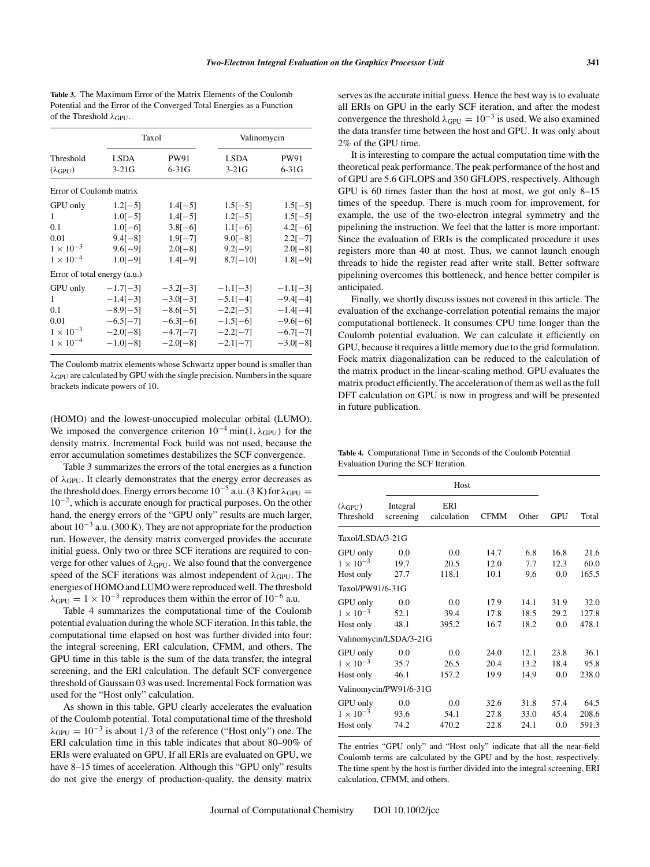**Table 3.** The Maximum Error of the Matrix Elements of the Coulomb Potential and the Error of the Converged Total Energies as a Function of the Threshold  $\lambda$ GPU.

|                              |                              | Taxol           | Valinomycin            |                 |  |
|------------------------------|------------------------------|-----------------|------------------------|-----------------|--|
| Threshold<br>$(\lambda$ GPU) | <b>LSDA</b><br>$3-21G$       | PW91<br>$6-31G$ | <b>LSDA</b><br>$3-21G$ | PW91<br>$6-31G$ |  |
| Error of Coulomb matrix      |                              |                 |                        |                 |  |
| GPU only                     | $1.2[-5]$                    | $1.4[-5]$       | $1.5[-5]$              | $1.5[-5]$       |  |
| 1                            | $1.0[-5]$                    | $1.4[-5]$       | $1.2[-5]$              | $1.5[-5]$       |  |
| 0.1                          | $1.0[-6]$                    | $3.8[-6]$       | $1.1[-6]$              | $4.2[-6]$       |  |
| 0.01                         | $9.4[-8]$                    | $1.9[-7]$       | $9.0[-8]$              | $2.2[-7]$       |  |
| $1 \times 10^{-3}$           | $9.6[-9]$                    | $2.0[-8]$       | $9.2[-9]$              | $2.0[-8]$       |  |
| $1 \times 10^{-4}$           | $1.0[-9]$                    | $1.4[-9]$       | $8.7[-10]$             | $1.8[-9]$       |  |
|                              | Error of total energy (a.u.) |                 |                        |                 |  |
| GPU only                     | $-1.7[-3]$                   | $-3.2[-3]$      | $-1.1[-3]$             | $-1.1[-3]$      |  |
| 1                            | $-1.4[-3]$                   | $-3.0[-3]$      | $-5.1[-4]$             | $-9.4[-4]$      |  |
| 0.1                          | $-8.9[-5]$                   | $-8.6[-5]$      | $-2.2[-5]$             | $-1.4[-4]$      |  |
| 0.01                         | $-6.5[-7]$                   | $-6.3[-6]$      | $-1.5[-6]$             | $-9.6[-6]$      |  |
| $1 \times 10^{-3}$           | $-2.0[-8]$                   | $-4.7[-7]$      | $-2.2[-7]$             | $-6.7[-7]$      |  |
| $1 \times 10^{-4}$           | $-1.0[-8]$                   | $-2.0[-8]$      | $-2.1[-7]$             | $-3.0[-8]$      |  |

The Coulomb matrix elements whose Schwartz upper bound is smaller than  $\lambda_{\text{GPU}}$  are calculated by GPU with the single precision. Numbers in the square brackets indicate powers of 10.

(HOMO) and the lowest-unoccupied molecular orbital (LUMO). We imposed the convergence criterion  $10^{-4}$  min(1,  $\lambda_{\text{GPU}}$ ) for the density matrix. Incremental Fock build was not used, because the error accumulation sometimes destabilizes the SCF convergence.

Table 3 summarizes the errors of the total energies as a function of  $\lambda$ <sub>GPU</sub>. It clearly demonstrates that the energy error decreases as the threshold does. Energy errors become  $10^{-5}$  a.u. (3 K) for  $\lambda_{\text{GPI}} =$ 10−2, which is accurate enough for practical purposes. On the other hand, the energy errors of the "GPU only" results are much larger, about  $10^{-3}$  a.u. (300 K). They are not appropriate for the production run. However, the density matrix converged provides the accurate initial guess. Only two or three SCF iterations are required to converge for other values of  $\lambda_{\text{GPU}}$ . We also found that the convergence speed of the SCF iterations was almost independent of  $\lambda_{\text{GPI}}$ . The energies of HOMO and LUMO were reproduced well. The threshold  $\lambda_{\text{GPU}} = 1 \times 10^{-3}$  reproduces them within the error of 10<sup>-6</sup> a.u.

Table 4 summarizes the computational time of the Coulomb potential evaluation during the whole SCF iteration. In this table, the computational time elapsed on host was further divided into four: the integral screening, ERI calculation, CFMM, and others. The GPU time in this table is the sum of the data transfer, the integral screening, and the ERI calculation. The default SCF convergence threshold of Gaussain 03 was used. Incremental Fock formation was used for the "Host only" calculation.

As shown in this table, GPU clearly accelerates the evaluation of the Coulomb potential. Total computational time of the threshold  $\lambda_{\text{GPI}} = 10^{-3}$  is about 1/3 of the reference ("Host only") one. The ERI calculation time in this table indicates that about 80–90% of ERIs were evaluated on GPU. If all ERIs are evaluated on GPU, we have 8–15 times of acceleration. Although this "GPU only" results do not give the energy of production-quality, the density matrix

serves as the accurate initial guess. Hence the best way is to evaluate all ERIs on GPU in the early SCF iteration, and after the modest convergence the threshold  $\lambda_{\text{GPU}} = 10^{-3}$  is used. We also examined the data transfer time between the host and GPU. It was only about 2% of the GPU time.

It is interesting to compare the actual computation time with the theoretical peak performance. The peak performance of the host and of GPU are 5.6 GFLOPS and 350 GFLOPS, respectively. Although GPU is 60 times faster than the host at most, we got only 8–15 times of the speedup. There is much room for improvement, for example, the use of the two-electron integral symmetry and the pipelining the instruction. We feel that the latter is more important. Since the evaluation of ERIs is the complicated procedure it uses registers more than 40 at most. Thus, we cannot launch enough threads to hide the register read after write stall. Better software pipelining overcomes this bottleneck, and hence better compiler is anticipated.

Finally, we shortly discuss issues not covered in this article. The evaluation of the exchange-correlation potential remains the major computational bottleneck. It consumes CPU time longer than the Coulomb potential evaluation. We can calculate it efficiently on GPU, because it requires a little memory due to the grid formulation. Fock matrix diagonalization can be reduced to the calculation of the matrix product in the linear-scaling method. GPU evaluates the matrix product efficiently. The acceleration of them as well as the full DFT calculation on GPU is now in progress and will be presented in future publication.

| Table 4. Computational Time in Seconds of the Coulomb Potential |  |  |  |
|-----------------------------------------------------------------|--|--|--|
| Evaluation During the SCF Iteration.                            |  |  |  |

|                                       | Host                  |                    |             |       |            |       |
|---------------------------------------|-----------------------|--------------------|-------------|-------|------------|-------|
| $(\lambda_{\text{GPU}})$<br>Threshold | Integral<br>screening | ERI<br>calculation | <b>CFMM</b> | Other | <b>GPU</b> | Total |
| Taxol/LSDA/3-21G                      |                       |                    |             |       |            |       |
| GPU only                              | 0.0                   | 0.0                | 14.7        | 6.8   | 16.8       | 21.6  |
| $1 \times 10^{-3}$                    | 19.7                  | 20.5               | 12.0        | 7.7   | 12.3       | 60.0  |
| Host only                             | 27.7                  | 118.1              | 10.1        | 9.6   | 0.0        | 165.5 |
| Taxol/PW91/6-31G                      |                       |                    |             |       |            |       |
| GPU only                              | 0.0                   | 0.0                | 17.9        | 14.1  | 31.9       | 32.0  |
| $1 \times 10^{-3}$                    | 52.1                  | 39.4               | 17.8        | 18.5  | 29.2       | 127.8 |
| Host only                             | 48.1                  | 395.2              | 16.7        | 18.2  | 0.0        | 478.1 |
| Valinomycin/LSDA/3-21G                |                       |                    |             |       |            |       |
| GPU only                              | 0.0                   | 0.0                | 24.0        | 12.1  | 23.8       | 36.1  |
| $1\times10^{-3}$                      | 35.7                  | 26.5               | 20.4        | 13.2  | 18.4       | 95.8  |
| Host only                             | 46.1                  | 157.2              | 19.9        | 14.9  | 0.0        | 238.0 |
| Valinomycin/PW91/6-31G                |                       |                    |             |       |            |       |
| GPU only                              | 0.0                   | 0.0                | 32.6        | 31.8  | 57.4       | 64.5  |
| $1 \times 10^{-3}$                    | 93.6                  | 54.1               | 27.8        | 33.0  | 45.4       | 208.6 |
| Host only                             | 74.2                  | 470.2              | 22.8        | 24.1  | 0.0        | 591.3 |

The entries "GPU only" and "Host only" indicate that all the near-field Coulomb terms are calculated by the GPU and by the host, respectively. The time spent by the host is further divided into the integral screening, ERI calculation, CFMM, and others.